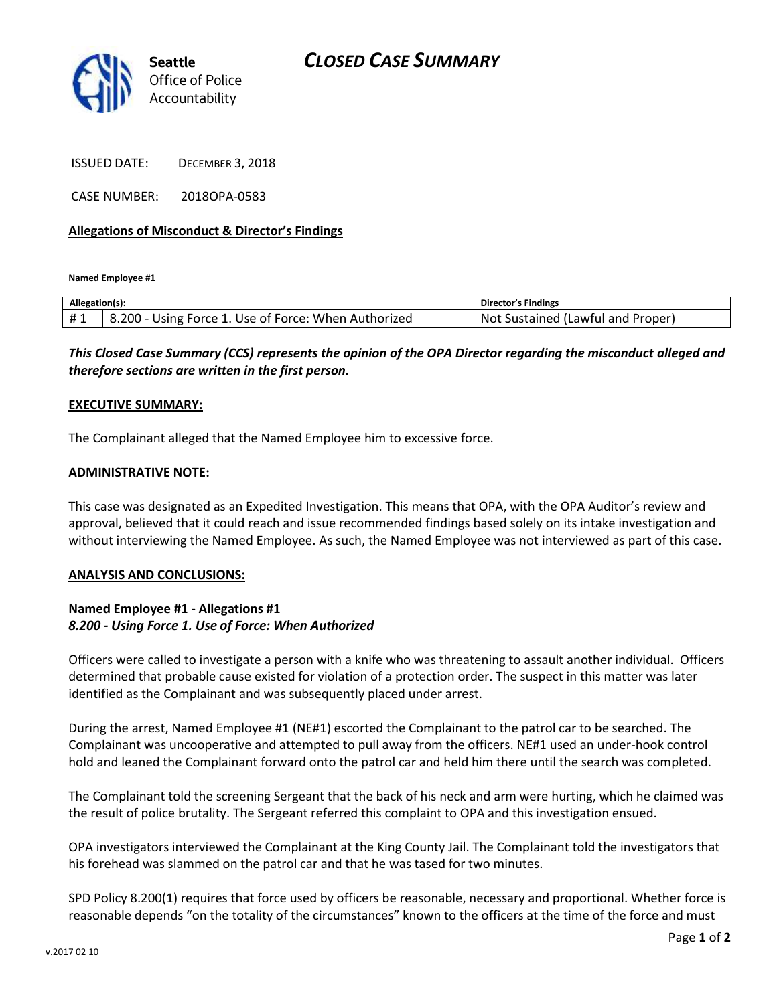# *CLOSED CASE SUMMARY*



ISSUED DATE: DECEMBER 3, 2018

CASE NUMBER: 2018OPA-0583

## **Allegations of Misconduct & Director's Findings**

**Named Employee #1**

| Allegation(s): |                                                       | Director's Findings                   |
|----------------|-------------------------------------------------------|---------------------------------------|
| #1             | 8.200<br>Using Force 1. Use of Force: When Authorized | Sustained (Lawful and Proper)<br>Not. |

*This Closed Case Summary (CCS) represents the opinion of the OPA Director regarding the misconduct alleged and therefore sections are written in the first person.* 

### **EXECUTIVE SUMMARY:**

The Complainant alleged that the Named Employee him to excessive force.

#### **ADMINISTRATIVE NOTE:**

This case was designated as an Expedited Investigation. This means that OPA, with the OPA Auditor's review and approval, believed that it could reach and issue recommended findings based solely on its intake investigation and without interviewing the Named Employee. As such, the Named Employee was not interviewed as part of this case.

#### **ANALYSIS AND CONCLUSIONS:**

### **Named Employee #1 - Allegations #1** *8.200 - Using Force 1. Use of Force: When Authorized*

Officers were called to investigate a person with a knife who was threatening to assault another individual. Officers determined that probable cause existed for violation of a protection order. The suspect in this matter was later identified as the Complainant and was subsequently placed under arrest.

During the arrest, Named Employee #1 (NE#1) escorted the Complainant to the patrol car to be searched. The Complainant was uncooperative and attempted to pull away from the officers. NE#1 used an under-hook control hold and leaned the Complainant forward onto the patrol car and held him there until the search was completed.

The Complainant told the screening Sergeant that the back of his neck and arm were hurting, which he claimed was the result of police brutality. The Sergeant referred this complaint to OPA and this investigation ensued.

OPA investigators interviewed the Complainant at the King County Jail. The Complainant told the investigators that his forehead was slammed on the patrol car and that he was tased for two minutes.

SPD Policy 8.200(1) requires that force used by officers be reasonable, necessary and proportional. Whether force is reasonable depends "on the totality of the circumstances" known to the officers at the time of the force and must